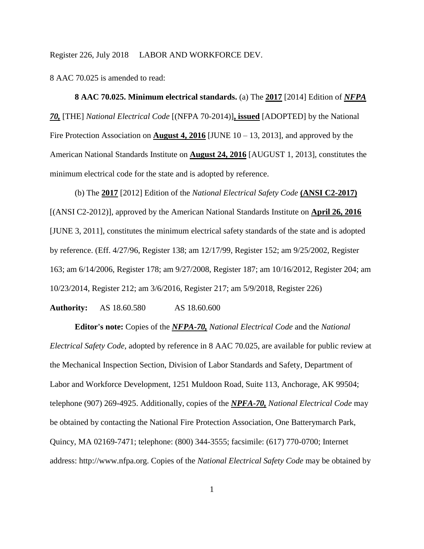8 AAC 70.025 is amended to read:

**8 AAC 70.025. Minimum electrical standards.** (a) The **2017** [2014] Edition of *NFPA 70,* [THE] *National Electrical Code* [(NFPA 70-2014)]**, issued** [ADOPTED] by the National Fire Protection Association on **August 4, 2016** [JUNE  $10 - 13$ , 2013], and approved by the American National Standards Institute on **August 24, 2016** [AUGUST 1, 2013], constitutes the minimum electrical code for the state and is adopted by reference.

(b) The **2017** [2012] Edition of the *National Electrical Safety Code* **(ANSI C2-2017)** [(ANSI C2-2012)], approved by the American National Standards Institute on **April 26, 2016** [JUNE 3, 2011], constitutes the minimum electrical safety standards of the state and is adopted by reference. (Eff. 4/27/96, Register 138; am 12/17/99, Register 152; am 9/25/2002, Register 163; am 6/14/2006, Register 178; am 9/27/2008, Register 187; am 10/16/2012, Register 204; am 10/23/2014, Register 212; am 3/6/2016, Register 217; am 5/9/2018, Register 226)

**Authority:** AS 18.60.580 AS 18.60.600

**Editor's note:** Copies of the *NFPA-70, National Electrical Code* and the *National Electrical Safety Code*, adopted by reference in 8 AAC 70.025, are available for public review at the Mechanical Inspection Section, Division of Labor Standards and Safety, Department of Labor and Workforce Development, 1251 Muldoon Road, Suite 113, Anchorage, AK 99504; telephone (907) 269-4925. Additionally, copies of the *NPFA-70, National Electrical Code* may be obtained by contacting the National Fire Protection Association, One Batterymarch Park, Quincy, MA 02169-7471; telephone: (800) 344-3555; facsimile: (617) 770-0700; Internet address: http://www.nfpa.org. Copies of the *National Electrical Safety Code* may be obtained by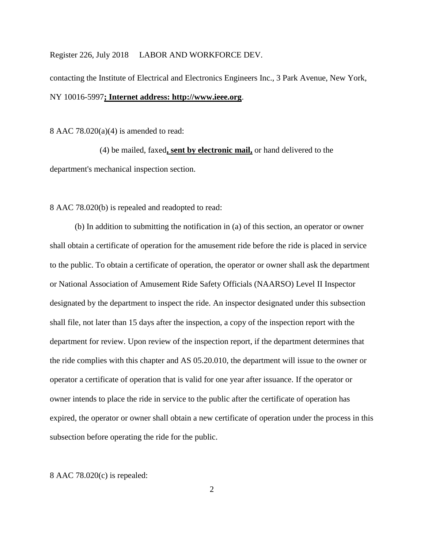contacting the Institute of Electrical and Electronics Engineers Inc., 3 Park Avenue, New York, NY 10016-5997**; Internet address: http://www.ieee.org**.

8 AAC 78.020(a)(4) is amended to read:

(4) be mailed, faxed**, sent by electronic mail,** or hand delivered to the department's mechanical inspection section.

8 AAC 78.020(b) is repealed and readopted to read:

(b) In addition to submitting the notification in (a) of this section, an operator or owner shall obtain a certificate of operation for the amusement ride before the ride is placed in service to the public. To obtain a certificate of operation, the operator or owner shall ask the department or National Association of Amusement Ride Safety Officials (NAARSO) Level II Inspector designated by the department to inspect the ride. An inspector designated under this subsection shall file, not later than 15 days after the inspection, a copy of the inspection report with the department for review. Upon review of the inspection report, if the department determines that the ride complies with this chapter and AS 05.20.010, the department will issue to the owner or operator a certificate of operation that is valid for one year after issuance. If the operator or owner intends to place the ride in service to the public after the certificate of operation has expired, the operator or owner shall obtain a new certificate of operation under the process in this subsection before operating the ride for the public.

8 AAC 78.020(c) is repealed: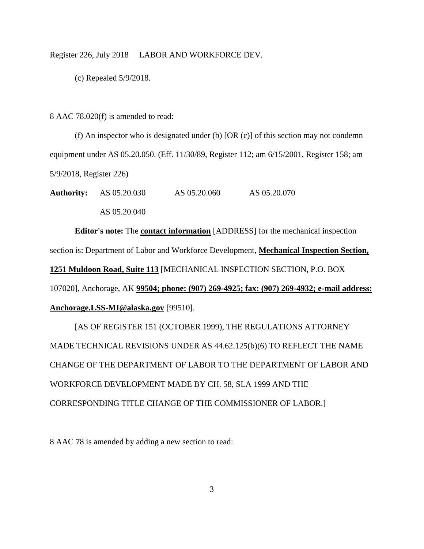(c) Repealed 5/9/2018.

8 AAC 78.020(f) is amended to read:

(f) An inspector who is designated under (b) [OR (c)] of this section may not condemn equipment under AS 05.20.050. (Eff. 11/30/89, Register 112; am 6/15/2001, Register 158; am 5/9/2018, Register 226)

**Authority:** AS 05.20.030 AS 05.20.060 AS 05.20.070 AS 05.20.040

**Editor's note:** The **contact information** [ADDRESS] for the mechanical inspection section is: Department of Labor and Workforce Development, **Mechanical Inspection Section, 1251 Muldoon Road, Suite 113** [MECHANICAL INSPECTION SECTION, P.O. BOX 107020], Anchorage, AK **99504; phone: (907) 269-4925; fax: (907) 269-4932; e-mail address: [Anchorage.LSS-MI@alaska.gov](mailto:Anchorage.LSS-MI@alaska.gov)** [99510].

[AS OF REGISTER 151 (OCTOBER 1999), THE REGULATIONS ATTORNEY MADE TECHNICAL REVISIONS UNDER AS 44.62.125(b)(6) TO REFLECT THE NAME CHANGE OF THE DEPARTMENT OF LABOR TO THE DEPARTMENT OF LABOR AND WORKFORCE DEVELOPMENT MADE BY CH. 58, SLA 1999 AND THE CORRESPONDING TITLE CHANGE OF THE COMMISSIONER OF LABOR.]

8 AAC 78 is amended by adding a new section to read: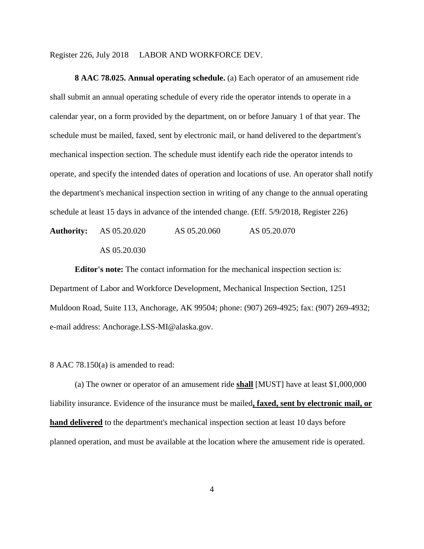**8 AAC 78.025. Annual operating schedule.** (a) Each operator of an amusement ride shall submit an annual operating schedule of every ride the operator intends to operate in a calendar year, on a form provided by the department, on or before January 1 of that year. The schedule must be mailed, faxed, sent by electronic mail, or hand delivered to the department's mechanical inspection section. The schedule must identify each ride the operator intends to operate, and specify the intended dates of operation and locations of use. An operator shall notify the department's mechanical inspection section in writing of any change to the annual operating schedule at least 15 days in advance of the intended change. (Eff. 5/9/2018, Register 226)

**Authority:** AS 05.20.020 AS 05.20.060 AS 05.20.070 AS 05.20.030

**Editor's note:** The contact information for the mechanical inspection section is: Department of Labor and Workforce Development, Mechanical Inspection Section, 1251 Muldoon Road, Suite 113, Anchorage, AK 99504; phone: (907) 269-4925; fax: (907) 269-4932; e-mail address: [Anchorage.LSS-MI@alaska.gov.](mailto:Anchorage.LSS-MI@alaska.gov)

8 AAC 78.150(a) is amended to read:

(a) The owner or operator of an amusement ride **shall** [MUST] have at least \$1,000,000 liability insurance. Evidence of the insurance must be mailed**, faxed, sent by electronic mail, or hand delivered** to the department's mechanical inspection section at least 10 days before planned operation, and must be available at the location where the amusement ride is operated.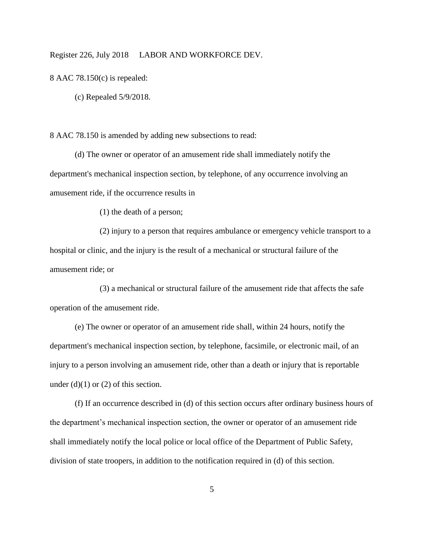8 AAC 78.150(c) is repealed:

(c) Repealed 5/9/2018.

8 AAC 78.150 is amended by adding new subsections to read:

(d) The owner or operator of an amusement ride shall immediately notify the department's mechanical inspection section, by telephone, of any occurrence involving an amusement ride, if the occurrence results in

(1) the death of a person;

(2) injury to a person that requires ambulance or emergency vehicle transport to a hospital or clinic, and the injury is the result of a mechanical or structural failure of the amusement ride; or

(3) a mechanical or structural failure of the amusement ride that affects the safe operation of the amusement ride.

(e) The owner or operator of an amusement ride shall, within 24 hours, notify the department's mechanical inspection section, by telephone, facsimile, or electronic mail, of an injury to a person involving an amusement ride, other than a death or injury that is reportable under  $(d)(1)$  or  $(2)$  of this section.

(f) If an occurrence described in (d) of this section occurs after ordinary business hours of the department's mechanical inspection section, the owner or operator of an amusement ride shall immediately notify the local police or local office of the Department of Public Safety, division of state troopers, in addition to the notification required in (d) of this section.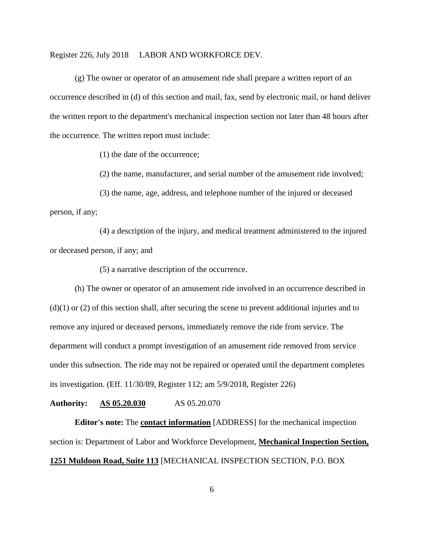(g) The owner or operator of an amusement ride shall prepare a written report of an occurrence described in (d) of this section and mail, fax, send by electronic mail, or hand deliver the written report to the department's mechanical inspection section not later than 48 hours after the occurrence. The written report must include:

(1) the date of the occurrence;

(2) the name, manufacturer, and serial number of the amusement ride involved;

(3) the name, age, address, and telephone number of the injured or deceased person, if any;

(4) a description of the injury, and medical treatment administered to the injured or deceased person, if any; and

(5) a narrative description of the occurrence.

(h) The owner or operator of an amusement ride involved in an occurrence described in  $(d)(1)$  or  $(2)$  of this section shall, after securing the scene to prevent additional injuries and to remove any injured or deceased persons, immediately remove the ride from service. The department will conduct a prompt investigation of an amusement ride removed from service under this subsection. The ride may not be repaired or operated until the department completes its investigation. (Eff. 11/30/89, Register 112; am 5/9/2018, Register 226)

**Authority: AS 05.20.030** AS 05.20.070

**Editor's note:** The **contact information** [ADDRESS] for the mechanical inspection section is: Department of Labor and Workforce Development, **Mechanical Inspection Section, 1251 Muldoon Road, Suite 113** [MECHANICAL INSPECTION SECTION, P.O. BOX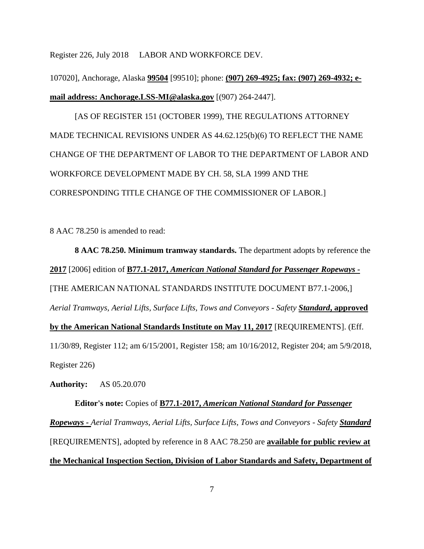107020], Anchorage, Alaska **99504** [99510]; phone: **(907) 269-4925; fax: (907) 269-4932; email address: [Anchorage.LSS-MI@alaska.gov](mailto:Anchorage.LSS-MI@alaska.gov)** [(907) 264-2447].

[AS OF REGISTER 151 (OCTOBER 1999), THE REGULATIONS ATTORNEY MADE TECHNICAL REVISIONS UNDER AS 44.62.125(b)(6) TO REFLECT THE NAME CHANGE OF THE DEPARTMENT OF LABOR TO THE DEPARTMENT OF LABOR AND WORKFORCE DEVELOPMENT MADE BY CH. 58, SLA 1999 AND THE CORRESPONDING TITLE CHANGE OF THE COMMISSIONER OF LABOR.]

8 AAC 78.250 is amended to read:

**8 AAC 78.250. Minimum tramway standards.** The department adopts by reference the **2017** [2006] edition of **B77.1-2017,** *American National Standard for Passenger Ropeways -* [THE AMERICAN NATIONAL STANDARDS INSTITUTE DOCUMENT B77.1-2006,] *Aerial Tramways, Aerial Lifts, Surface Lifts, Tows and Conveyors - Safety Standard***, approved by the American National Standards Institute on May 11, 2017** [REQUIREMENTS]. (Eff. 11/30/89, Register 112; am 6/15/2001, Register 158; am 10/16/2012, Register 204; am 5/9/2018, Register 226)

**Authority:** AS 05.20.070

**Editor's note:** Copies of **B77.1-2017,** *American National Standard for Passenger Ropeways - Aerial Tramways, Aerial Lifts, Surface Lifts, Tows and Conveyors - Safety Standard* [REQUIREMENTS], adopted by reference in 8 AAC 78.250 are **available for public review at the Mechanical Inspection Section, Division of Labor Standards and Safety, Department of**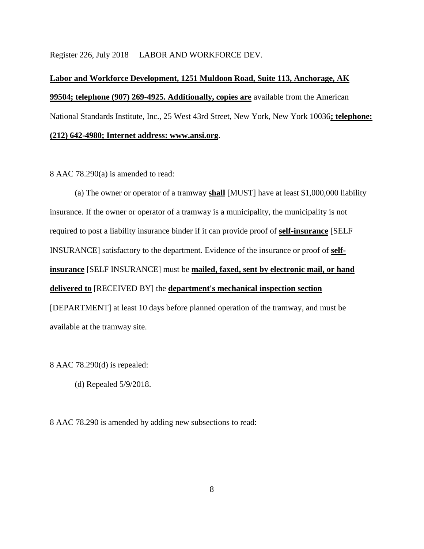# **Labor and Workforce Development, 1251 Muldoon Road, Suite 113, Anchorage, AK 99504; telephone (907) 269-4925. Additionally, copies are** available from the American National Standards Institute, Inc., 25 West 43rd Street, New York, New York 10036**; telephone: (212) 642-4980; Internet address: www.ansi.org**.

8 AAC 78.290(a) is amended to read:

(a) The owner or operator of a tramway **shall** [MUST] have at least \$1,000,000 liability insurance. If the owner or operator of a tramway is a municipality, the municipality is not required to post a liability insurance binder if it can provide proof of **self-insurance** [SELF INSURANCE] satisfactory to the department. Evidence of the insurance or proof of **selfinsurance** [SELF INSURANCE] must be **mailed, faxed, sent by electronic mail, or hand delivered to** [RECEIVED BY] the **department's mechanical inspection section** [DEPARTMENT] at least 10 days before planned operation of the tramway, and must be available at the tramway site.

8 AAC 78.290(d) is repealed:

(d) Repealed 5/9/2018.

8 AAC 78.290 is amended by adding new subsections to read: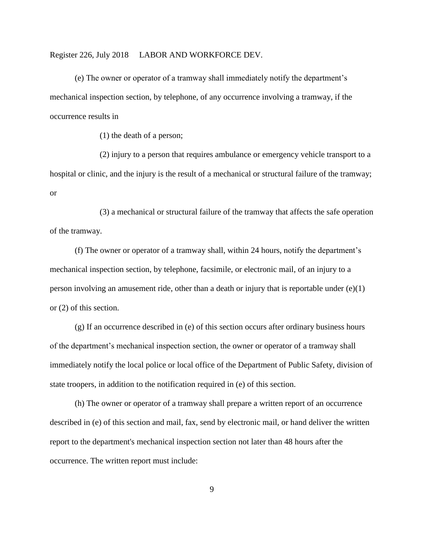(e) The owner or operator of a tramway shall immediately notify the department's mechanical inspection section, by telephone, of any occurrence involving a tramway, if the occurrence results in

(1) the death of a person;

(2) injury to a person that requires ambulance or emergency vehicle transport to a hospital or clinic, and the injury is the result of a mechanical or structural failure of the tramway; or

(3) a mechanical or structural failure of the tramway that affects the safe operation of the tramway.

(f) The owner or operator of a tramway shall, within 24 hours, notify the department's mechanical inspection section, by telephone, facsimile, or electronic mail, of an injury to a person involving an amusement ride, other than a death or injury that is reportable under (e)(1) or (2) of this section.

(g) If an occurrence described in (e) of this section occurs after ordinary business hours of the department's mechanical inspection section, the owner or operator of a tramway shall immediately notify the local police or local office of the Department of Public Safety, division of state troopers, in addition to the notification required in (e) of this section.

(h) The owner or operator of a tramway shall prepare a written report of an occurrence described in (e) of this section and mail, fax, send by electronic mail, or hand deliver the written report to the department's mechanical inspection section not later than 48 hours after the occurrence. The written report must include:

9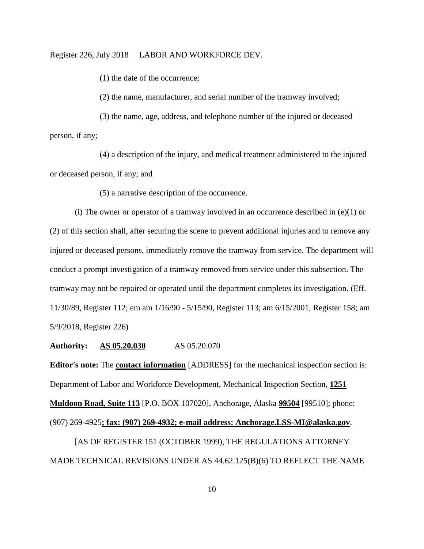(1) the date of the occurrence;

(2) the name, manufacturer, and serial number of the tramway involved;

(3) the name, age, address, and telephone number of the injured or deceased person, if any;

(4) a description of the injury, and medical treatment administered to the injured or deceased person, if any; and

(5) a narrative description of the occurrence.

(i) The owner or operator of a tramway involved in an occurrence described in  $(e)(1)$  or (2) of this section shall, after securing the scene to prevent additional injuries and to remove any injured or deceased persons, immediately remove the tramway from service. The department will conduct a prompt investigation of a tramway removed from service under this subsection. The tramway may not be repaired or operated until the department completes its investigation. (Eff. 11/30/89, Register 112; em am 1/16/90 - 5/15/90, Register 113; am 6/15/2001, Register 158; am 5/9/2018, Register 226)

**Authority: AS 05.20.030** AS 05.20.070

**Editor's note:** The **contact information** [ADDRESS] for the mechanical inspection section is: Department of Labor and Workforce Development, Mechanical Inspection Section, **1251 Muldoon Road, Suite 113** [P.O. BOX 107020], Anchorage, Alaska **99504** [99510]; phone: (907) 269-4925**; fax: (907) 269-4932; e-mail address: [Anchorage.LSS-MI@alaska.gov](mailto:Anchorage.LSS-MI@alaska.gov)**.

[AS OF REGISTER 151 (OCTOBER 1999), THE REGULATIONS ATTORNEY MADE TECHNICAL REVISIONS UNDER AS 44.62.125(B)(6) TO REFLECT THE NAME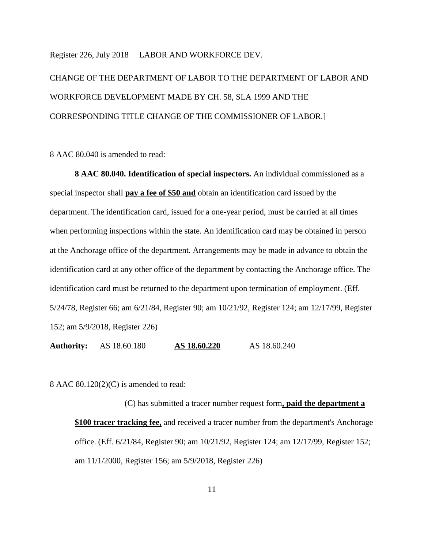CHANGE OF THE DEPARTMENT OF LABOR TO THE DEPARTMENT OF LABOR AND WORKFORCE DEVELOPMENT MADE BY CH. 58, SLA 1999 AND THE CORRESPONDING TITLE CHANGE OF THE COMMISSIONER OF LABOR.]

8 AAC 80.040 is amended to read:

**8 AAC 80.040. Identification of special inspectors.** An individual commissioned as a special inspector shall **pay a fee of \$50 and** obtain an identification card issued by the department. The identification card, issued for a one-year period, must be carried at all times when performing inspections within the state. An identification card may be obtained in person at the Anchorage office of the department. Arrangements may be made in advance to obtain the identification card at any other office of the department by contacting the Anchorage office. The identification card must be returned to the department upon termination of employment. (Eff. 5/24/78, Register 66; am 6/21/84, Register 90; am 10/21/92, Register 124; am 12/17/99, Register 152; am 5/9/2018, Register 226)

**Authority:** AS 18.60.180 **AS 18.60.220** AS 18.60.240

8 AAC 80.120(2)(C) is amended to read:

(C) has submitted a tracer number request form**, paid the department a \$100 tracer tracking fee,** and received a tracer number from the department's Anchorage office. (Eff. 6/21/84, Register 90; am 10/21/92, Register 124; am 12/17/99, Register 152; am 11/1/2000, Register 156; am 5/9/2018, Register 226)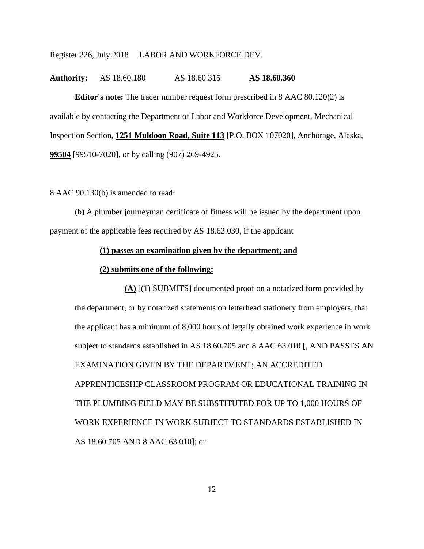# **Authority:** AS 18.60.180 AS 18.60.315 **AS 18.60.360**

**Editor's note:** The tracer number request form prescribed in 8 AAC 80.120(2) is available by contacting the Department of Labor and Workforce Development, Mechanical Inspection Section, **1251 Muldoon Road, Suite 113** [P.O. BOX 107020], Anchorage, Alaska, **99504** [99510-7020], or by calling (907) 269-4925.

8 AAC 90.130(b) is amended to read:

(b) A plumber journeyman certificate of fitness will be issued by the department upon payment of the applicable fees required by AS 18.62.030, if the applicant

#### **(1) passes an examination given by the department; and**

### **(2) submits one of the following:**

**(A)** [(1) SUBMITS] documented proof on a notarized form provided by the department, or by notarized statements on letterhead stationery from employers, that the applicant has a minimum of 8,000 hours of legally obtained work experience in work subject to standards established in AS 18.60.705 and 8 AAC 63.010 [, AND PASSES AN EXAMINATION GIVEN BY THE DEPARTMENT; AN ACCREDITED APPRENTICESHIP CLASSROOM PROGRAM OR EDUCATIONAL TRAINING IN THE PLUMBING FIELD MAY BE SUBSTITUTED FOR UP TO 1,000 HOURS OF WORK EXPERIENCE IN WORK SUBJECT TO STANDARDS ESTABLISHED IN AS 18.60.705 AND 8 AAC 63.010]; or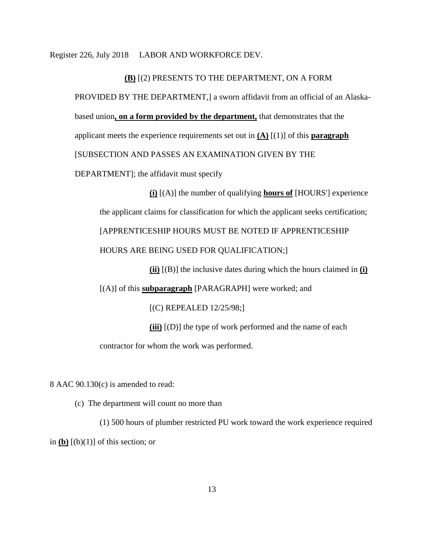#### **(B)** [(2) PRESENTS TO THE DEPARTMENT, ON A FORM

PROVIDED BY THE DEPARTMENT,] a sworn affidavit from an official of an Alaskabased union**, on a form provided by the department,** that demonstrates that the applicant meets the experience requirements set out in  $(A)$   $[(1)]$  of this **paragraph** [SUBSECTION AND PASSES AN EXAMINATION GIVEN BY THE DEPARTMENT]; the affidavit must specify

**(i)** [(A)] the number of qualifying **hours of** [HOURS'] experience the applicant claims for classification for which the applicant seeks certification; [APPRENTICESHIP HOURS MUST BE NOTED IF APPRENTICESHIP HOURS ARE BEING USED FOR QUALIFICATION;]

**(ii)** [(B)] the inclusive dates during which the hours claimed in **(i)**

[(A)] of this **subparagraph** [PARAGRAPH] were worked; and

[(C) REPEALED 12/25/98;]

**(iii)** [(D)] the type of work performed and the name of each

contractor for whom the work was performed.

8 AAC 90.130(c) is amended to read:

(c) The department will count no more than

(1) 500 hours of plumber restricted PU work toward the work experience required in  $(b)$   $[(b)(1)]$  of this section; or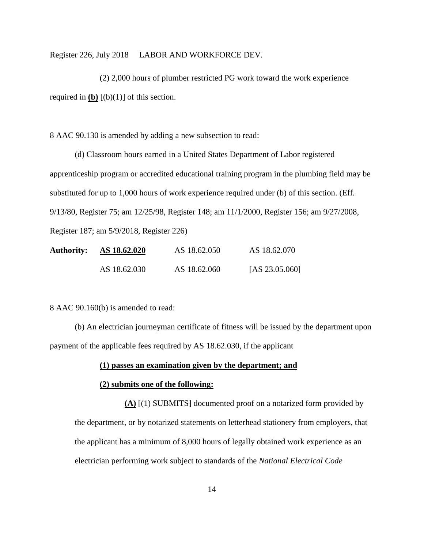(2) 2,000 hours of plumber restricted PG work toward the work experience required in  $[(b)(1)]$  **of this section.** 

8 AAC 90.130 is amended by adding a new subsection to read:

(d) Classroom hours earned in a United States Department of Labor registered apprenticeship program or accredited educational training program in the plumbing field may be substituted for up to 1,000 hours of work experience required under (b) of this section. (Eff. 9/13/80, Register 75; am 12/25/98, Register 148; am 11/1/2000, Register 156; am 9/27/2008, Register 187; am 5/9/2018, Register 226)

| <b>Authority:</b> | AS 18.62.020 | AS 18.62.050 | AS 18.62.070      |
|-------------------|--------------|--------------|-------------------|
|                   | AS 18.62.030 | AS 18.62.060 | [AS $23.05.060$ ] |

8 AAC 90.160(b) is amended to read:

(b) An electrician journeyman certificate of fitness will be issued by the department upon payment of the applicable fees required by AS 18.62.030, if the applicant

# **(1) passes an examination given by the department; and**

# **(2) submits one of the following:**

**(A)** [(1) SUBMITS] documented proof on a notarized form provided by the department, or by notarized statements on letterhead stationery from employers, that the applicant has a minimum of 8,000 hours of legally obtained work experience as an electrician performing work subject to standards of the *National Electrical Code*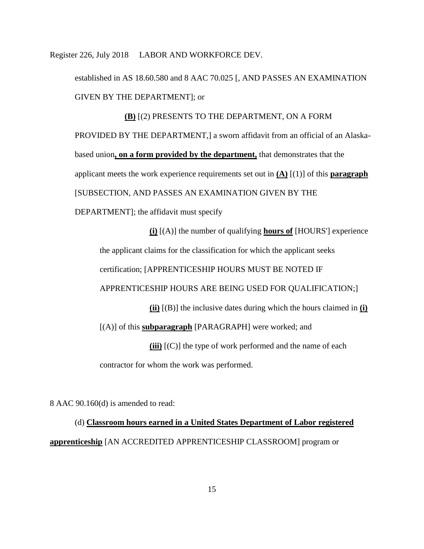established in AS 18.60.580 and 8 AAC 70.025 [, AND PASSES AN EXAMINATION GIVEN BY THE DEPARTMENT]; or

**(B)** [(2) PRESENTS TO THE DEPARTMENT, ON A FORM PROVIDED BY THE DEPARTMENT,] a sworn affidavit from an official of an Alaskabased union**, on a form provided by the department,** that demonstrates that the applicant meets the work experience requirements set out in **(A)** [(1)] of this **paragraph** [SUBSECTION, AND PASSES AN EXAMINATION GIVEN BY THE DEPARTMENT]; the affidavit must specify

**(i)** [(A)] the number of qualifying **hours of** [HOURS'] experience the applicant claims for the classification for which the applicant seeks certification; [APPRENTICESHIP HOURS MUST BE NOTED IF APPRENTICESHIP HOURS ARE BEING USED FOR QUALIFICATION;] **(ii)** [(B)] the inclusive dates during which the hours claimed in **(i)** [(A)] of this **subparagraph** [PARAGRAPH] were worked; and **(iii)** [(C)] the type of work performed and the name of each contractor for whom the work was performed.

8 AAC 90.160(d) is amended to read:

(d) **Classroom hours earned in a United States Department of Labor registered apprenticeship** [AN ACCREDITED APPRENTICESHIP CLASSROOM] program or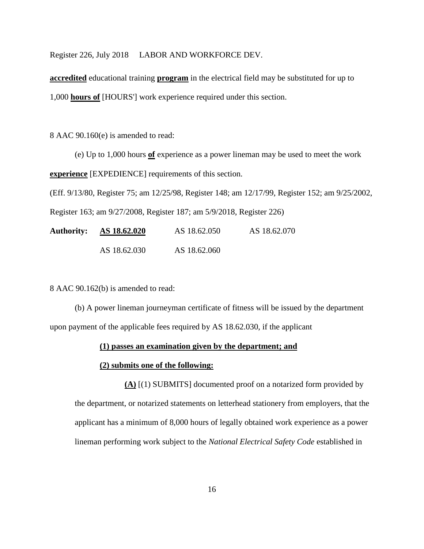**accredited** educational training **program** in the electrical field may be substituted for up to 1,000 **hours of** [HOURS'] work experience required under this section.

8 AAC 90.160(e) is amended to read:

(e) Up to 1,000 hours **of** experience as a power lineman may be used to meet the work **experience** [EXPEDIENCE] requirements of this section.

(Eff. 9/13/80, Register 75; am 12/25/98, Register 148; am 12/17/99, Register 152; am 9/25/2002,

Register 163; am 9/27/2008, Register 187; am 5/9/2018, Register 226)

**Authority: AS 18.62.020** AS 18.62.050 AS 18.62.070 AS 18.62.030 AS 18.62.060

8 AAC 90.162(b) is amended to read:

(b) A power lineman journeyman certificate of fitness will be issued by the department upon payment of the applicable fees required by AS 18.62.030, if the applicant

## **(1) passes an examination given by the department; and**

# **(2) submits one of the following:**

**(A)** [(1) SUBMITS] documented proof on a notarized form provided by the department, or notarized statements on letterhead stationery from employers, that the applicant has a minimum of 8,000 hours of legally obtained work experience as a power lineman performing work subject to the *National Electrical Safety Code* established in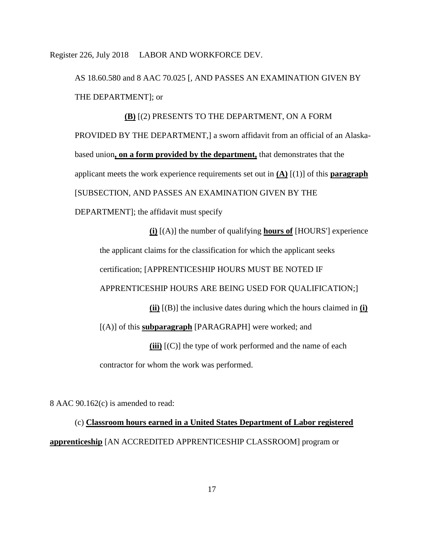AS 18.60.580 and 8 AAC 70.025 [, AND PASSES AN EXAMINATION GIVEN BY THE DEPARTMENT]; or

**(B)** [(2) PRESENTS TO THE DEPARTMENT, ON A FORM PROVIDED BY THE DEPARTMENT,] a sworn affidavit from an official of an Alaskabased union**, on a form provided by the department,** that demonstrates that the applicant meets the work experience requirements set out in **(A)** [(1)] of this **paragraph** [SUBSECTION, AND PASSES AN EXAMINATION GIVEN BY THE DEPARTMENT]; the affidavit must specify

**(i)** [(A)] the number of qualifying **hours of** [HOURS'] experience the applicant claims for the classification for which the applicant seeks certification; [APPRENTICESHIP HOURS MUST BE NOTED IF APPRENTICESHIP HOURS ARE BEING USED FOR QUALIFICATION;] **(ii)** [(B)] the inclusive dates during which the hours claimed in **(i)** [(A)] of this **subparagraph** [PARAGRAPH] were worked; and **(iii)** [(C)] the type of work performed and the name of each contractor for whom the work was performed.

8 AAC 90.162(c) is amended to read:

(c) **Classroom hours earned in a United States Department of Labor registered apprenticeship** [AN ACCREDITED APPRENTICESHIP CLASSROOM] program or